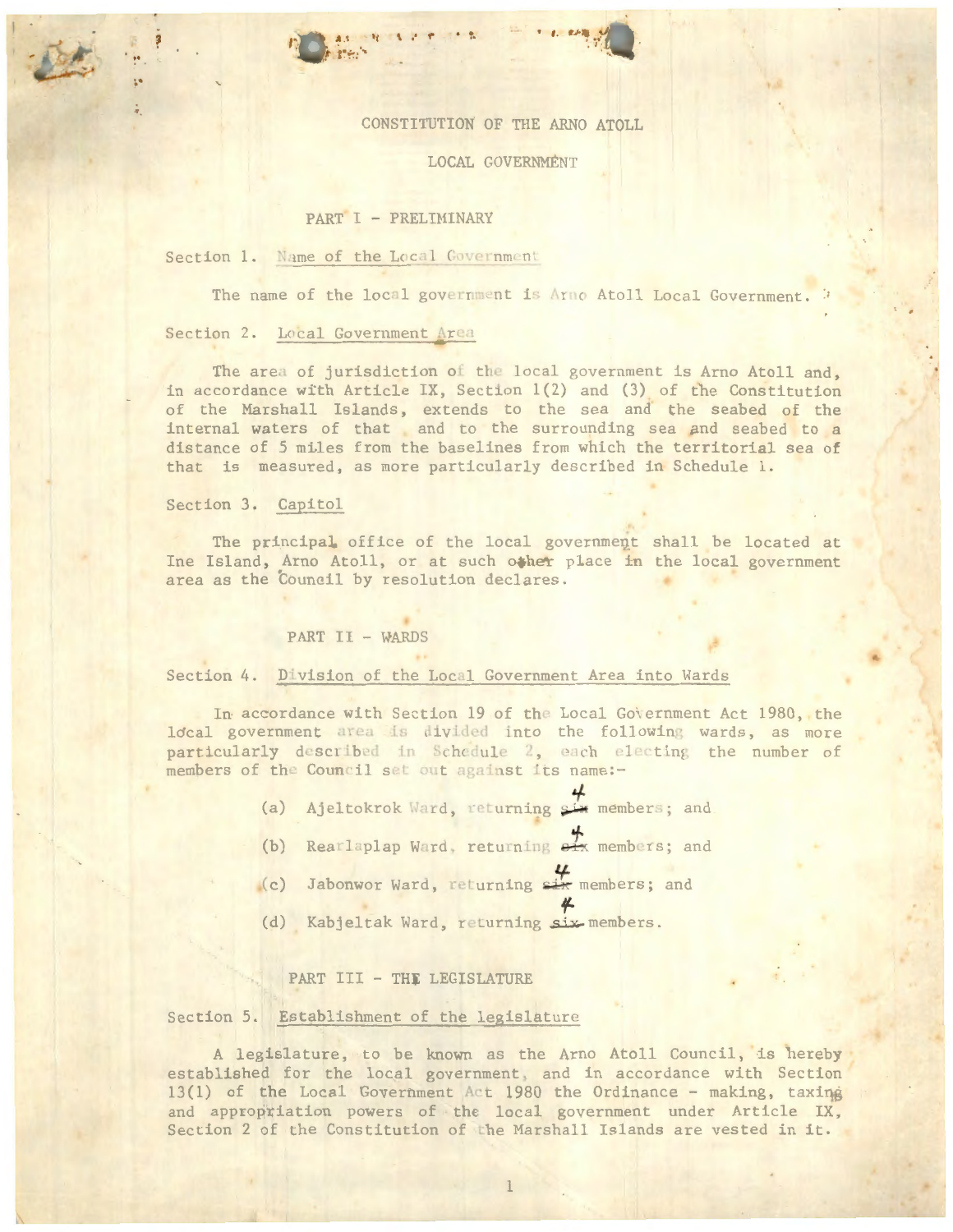# CONSTITUTION OF THE ARNO ATOLL

. · ,. • *t .* 1!' •• ~·~\. *·.J* . .... • I ·

## LOCAL GOVERNMENT

### PART I - PRELIMINARY

# Section 1. Name of the Local Government

The name of the local government is Arno Atoll Local Government.

 $\cdot$   $\cdot$ 

### Section 2. Local Government Area

The area of jurisdiction of the local government is Arno Atoll and, in accordance with Article IX, Section 1(2) and (3) of the Constitution of the Marshall Islands, extends to the sea and the seabed of the internal waters of that and to the surrounding sea and seabed to a distance of 5 mi.les from the baselines from which the territorial sea of that is measured, as more particularly described in Schedule 1.

## Section 3. Capitol

.·

·

The principal office of the local government shall be located at Ine Island, Arno Atoll, or at such other place in the local government area as the Council by resolution declares.

#### PART II - WARDS

# Section 4. Division of the Local Government Area into Wards

In accordance with Section 19 of the Local Government Act 1980, the local government area is divided into the following wards, as more particularly described in Schedule 2, each electing the number of members of the Council set out against its name:-

- (a) Ajeltokrok Ward, returning six members; and
- (b) Rearlaplap Ward, returning  $\frac{1}{2}$  m members; and
- (c) Jabonwor Ward, returning  $\frac{1}{2}$  members; and
- f (d) Kabjeltak Ward, returning six members.

### PART III - THE LEGISLATURE

### Section 5. Establishment of the legislature

A legislature, to be known as the Arno Atoll Council, is hereby established for the local government, and in accordance with Section 13(1) of the Local Government Act 1980 the Ordinance - making, taxing and appropriation powers of the local government under Article IX, Section 2 of the Constitution of the Marshall Islands are vested in it.

l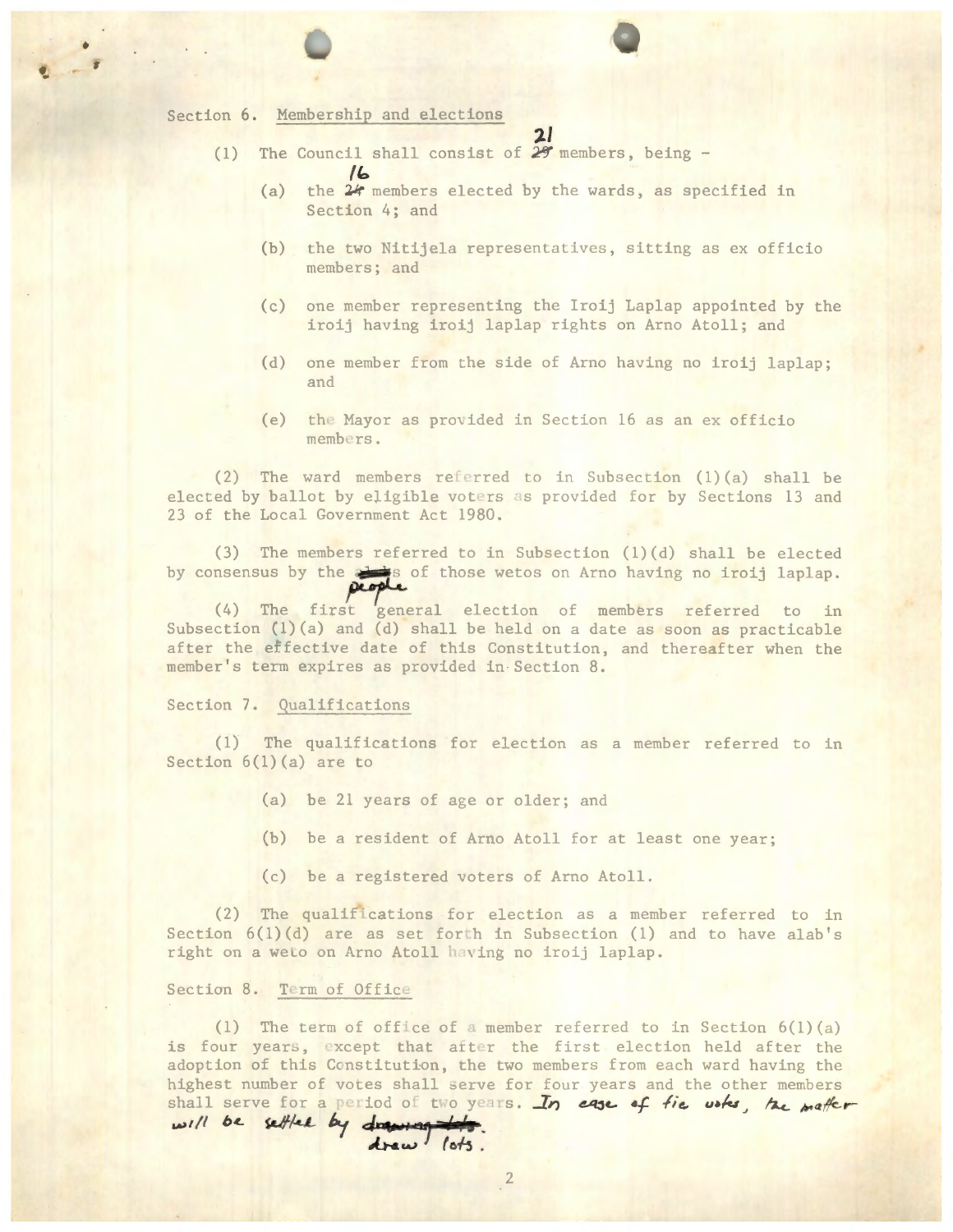# Section 6. Membership and elections

**flo** 

•

·-

- (1) The Council shall consist of  $29$  members, being -
	- (a) the 24 members elected by the wards, as specified in Section 4; and
	- (b) the two Nitijela representatives, sitting as ex officio members; and

 $2l$ 

- ( c) one member representing the Iroij Laplap appointed by the iroij having iroij laplap rights on Arne Atoll; and
- (d) one member from the side of Arno having no iroij laplap; and
- (e) the Mayor as provided in Section 16 as an ex officio members.

(2) The ward members referred to in Subsection  $(1)$  (a) shall be elected by ballot by eligible voters as provided for by Sections 13 and 23 of the Local Government Act 1980.

(3) The members referred to in Subsection (l)(d) shall be elected by consensus by the state of those wetos on Arno having no iroij laplap.

 $(4)$  The first general election of members referred to in Subsection  $(1)(a)$  and  $(d)$  shall be held on a date as soon as practicable after the effective date of this Constitution, and thereafter when the member's term expires as provided in Section 8.

### Section 7. Qualifications

(1) The qualifications for election as a member referred to in Section  $6(1)(a)$  are to

- (a) be 21 years of age or older; and
- (b) be a resident of Arno Atoll for at least one year;
- ( c) be a registered voters of Arno Atoll.

(2) The qualifications for election as a member referred to in Section  $6(1)(d)$  are as set forth in Subsection (1) and to have alab's right on a weto on Arno Atoll having no iroij laplap.

### Section 8. Term of Office

(1) The term of office of a member referred to in Section  $6(1)(a)$ is four years, except that after the first election held after the adoption of this Constitution, the two members from each ward having the highest number of votes shall serve for four years and the other members shall serve for a period of two years. In ease of fie whs, he matter will be settled by drawing the. drew / ots.

2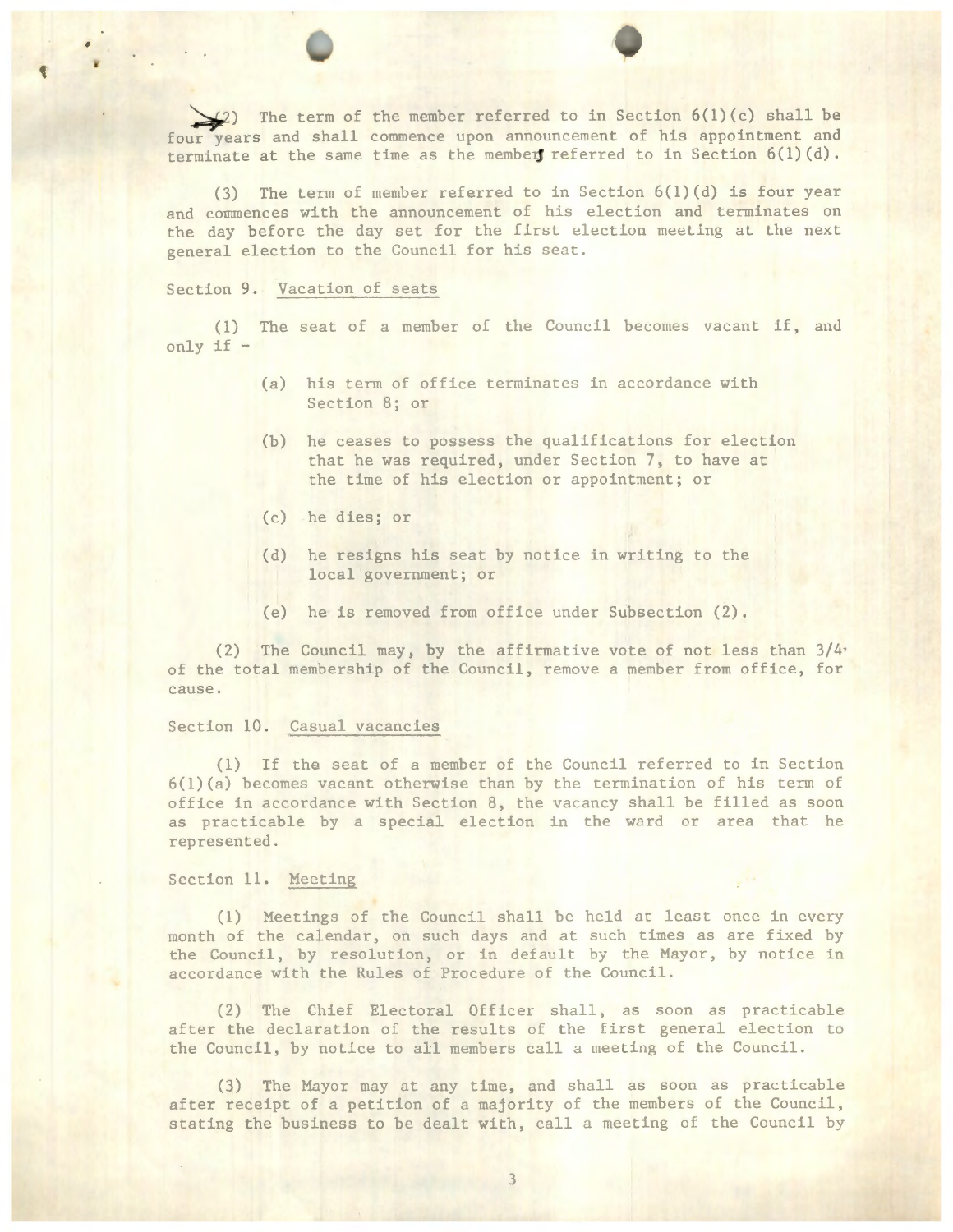$(2)$  The term of the member referred to in Section 6(1)(c) shall be four years and shall commence upon announcement of his appointment and terminate at the same time as the members referred to in Section  $6(1)(d)$ .

(3) The term of member referred to in Section 6(l)(d) is four year and commences with the announcement of his election and terminates on the day before the day set for the first election meeting at the next general election to the Council for his seat.

# Section 9. Vacation of seats

( 1) The seat of a member of the Council becomes vacant if, and only if -

- (a) his term of office terminates in accordance with Section 8; or
- (b) he ceases to possess the qualifications for election that he was required, under Section 7, to have at the time of his election or appointment; or
- ( c) he dies; or
- (d) he resigns his seat by notice in writing to the local government; or
- (e) he is removed from office under Subsection (2).

(2) The Council may, by the affirmative vote of not less than  $3/4$ of the total membership of the Council, remove a member from office, for cause.

### Section 10. Casual vacancies

(1) If the seat of a member of the Council referred to in Section 6(1)(a) becomes vacant otherwise than by the termination of his term of office in accordance with Section 8, the vacancy shall be filled as soon as practicable by a special election in the ward or area that he represented.

### Section 11. Meeting

(1) Meetings of the Council shall be held at least once in every month of the calendar, on such days and at such times as are fixed by the Council, by resolution, or in default by the Mayor, by notice in accordance with the Rules of Procedure of the Council.

(2) The Chief Electoral Officer shall, as soon as practicable after the declaration of the results of the first general election to the Council, by notice to all members call a meeting of the Council.

(3) The Mayor may at any time, and shall as soon as practicable after receipt of a petition of a majority of the members of the Council, stating the business to be dealt with, call a meeting of the Council by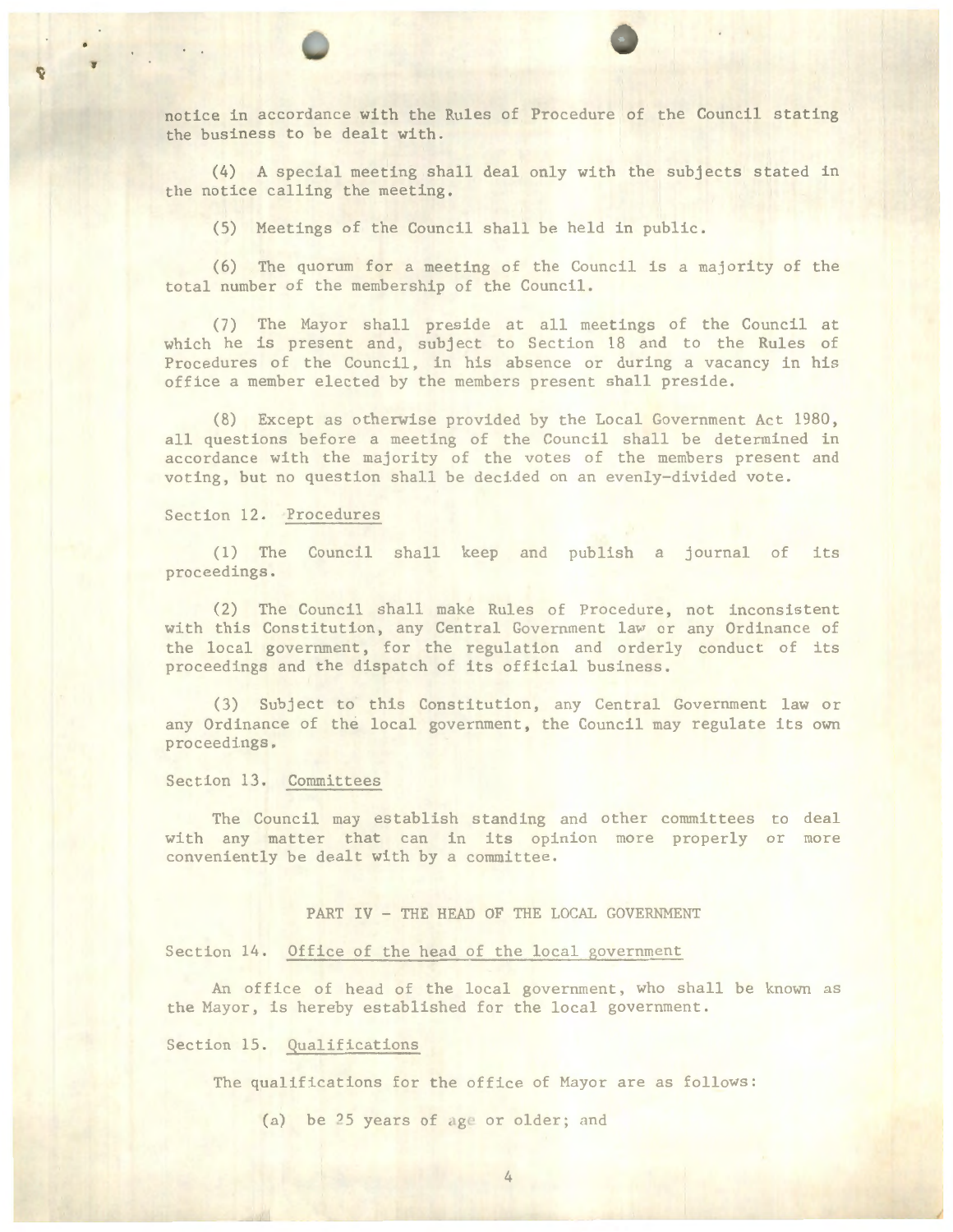notice in accordance with the Rules of Procedure of the Council stating the business to be dealt with.

 $(4)$  A special meeting shall deal only with the subjects stated in the notice calling the meeting.

(5) Heetings of the Council shall be held in public .

(6) The quorum for a meeting of the Council is a majority of the total number of the membership of the Council.

(7) The Hayor shall preside at all meetings of the Council at which he is present and, subject to Section 18 and to the Rules of Procedures of the Council, in his absence or during a vacancy in his office a member elected by the members present shall preside.

(8) Except as otherwise provided by the Local Government Act 1980, all questions before a meeting of the Council shall be determined in accordance with the majority of the votes of the members present and voting, but no question shall be decided on an evenly-divided vote.

## Section 12. Procedures

1

(1) The Council shall keep and publish a journal of its proceedings .

(2) The Council shall make Rules of Procedure, not inconsistent with this Constitution, any Central Government law or any Ordinance of the local government, for the regulation and orderly conduct of its proceedings and the dispatch of its official business.

(3) Subject to this Constitution, any Central Government law or any Ordinance of the local government, the Council may regulate its own proceedings.

# Section 13. Committees

The Council may establish standing and other committees to deal with any matter that can in its opinion more properly or more conveniently be dealt with by a committee.

### PART IV - THE HEAD OF THE LOCAL GOVERNMENT

# Section 14. Office of the head of the local government

An office of head of the local government, who shall be known as the Hayor, is hereby established for the local government.

# Section 15. Qualifications

The qualifications for the office of Hayor are as follows:

(a) be  $25$  years of age or older; and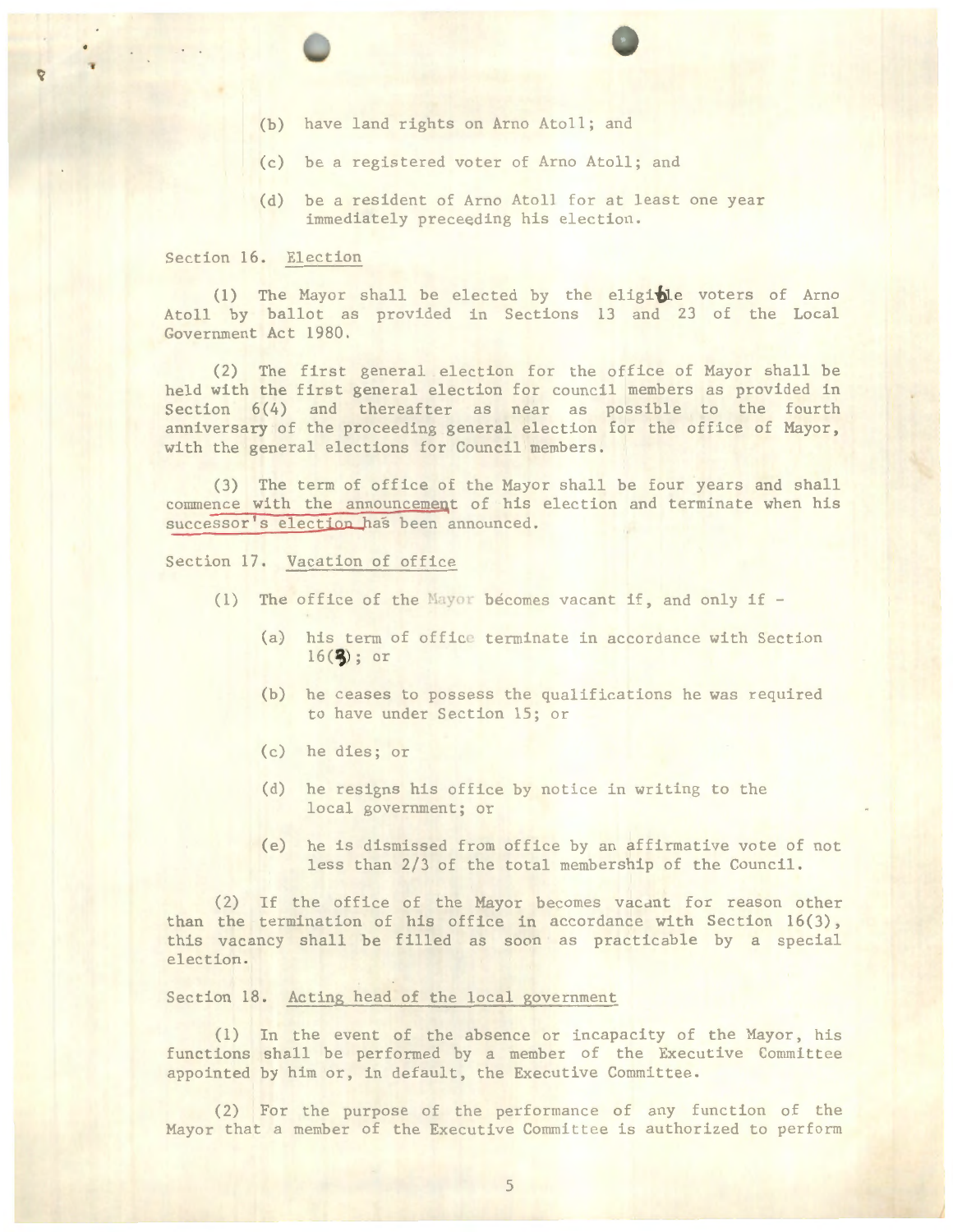- (b) have land rights on Arno Atoll; and
- (c) be a registered voter of Arno Atoll; and
- (d) be a resident of Arno Atoll for at least one year immediately preceeding his election.

# Section 16. Election

(1) The Mayor shall be elected by the eligible voters of Arno Atoll by ballot as provided in Sections 13 and 23 of the Local Government Act 1980.

(2) The first general election for the office of Hayor shall be held with the first general election for council members as provided in Section 6(4) and thereafter as near as possible to the fourth anniversary of the proceeding general election for the office of Hayor, with the general elections for Council members.

(3) The term of office of the Hayor shall be four years and shall commence with the announcement of his election and terminate when his successor's election has been announced.

Section 17. Vacation of office

- (1) The office of the Mayor becomes vacant if, and only if
	- (a) his term of office terminate in accordance with Section  $16(3)$ ; or
	- (b) he ceases to possess the qualifications he was required to have under Section 15; or
	- (c) he dies; or
	- (d) he resigns his office by notice in writing to the local government; or
	- (e) he is dismissed from office by an affirmative vote of not less than 2/3 of the total membership of the Council.

(2) If the office of the Mayor becomes vacant for reason other than the termination of his office in accordance with Section 16(3), this vacancy shalJ be filled as soon as practicable by a special election.

Section 18. Acting head of the local government

(1) In the event of the absence or incapacity of the Mayor, his functions shall be performed by a member of the Executive Committee appointed by him or, in default, the Executive Committee.

(2) For the purpose of the performance of any function of the Mayor that a member of the Executive Committee is authorized to perform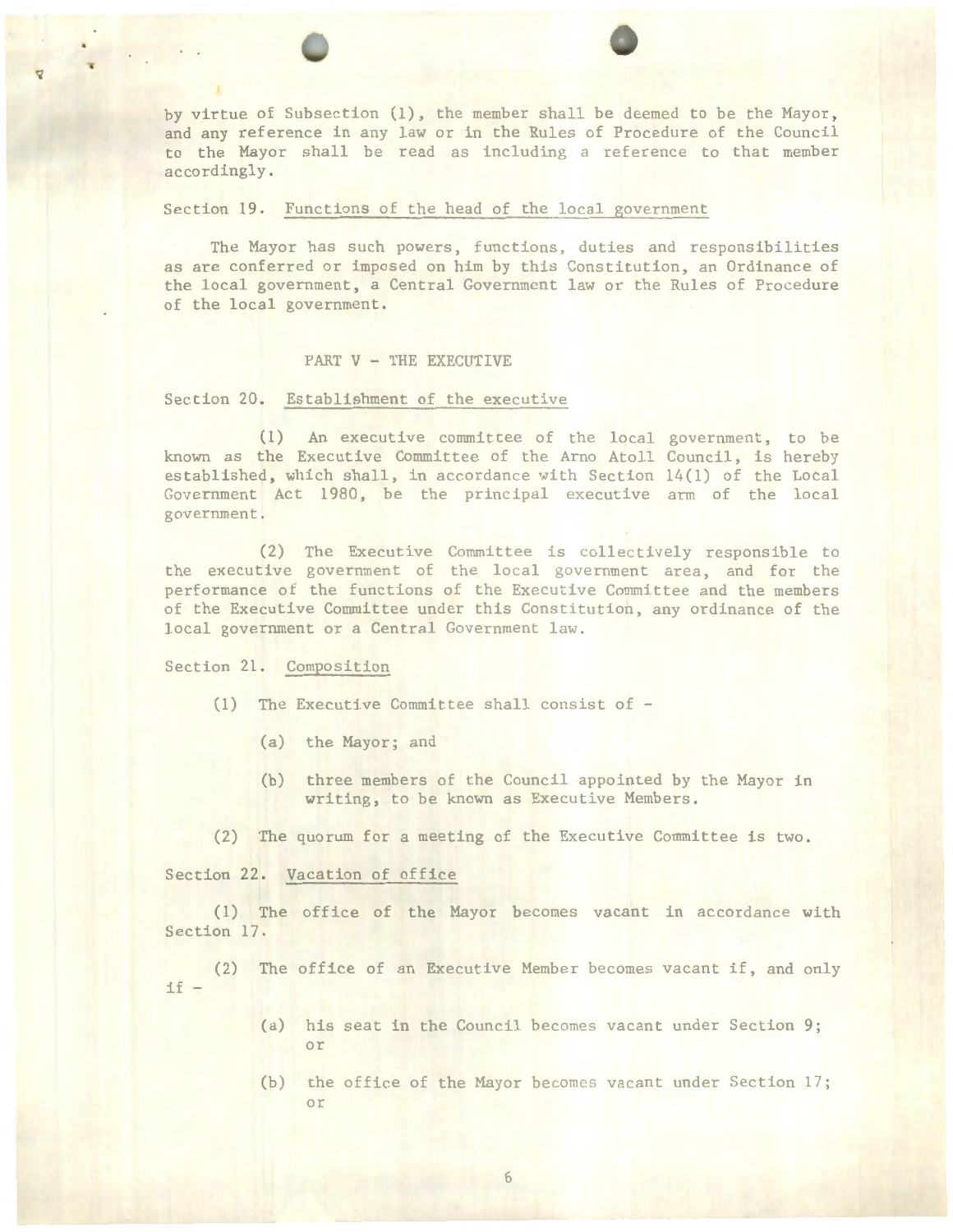by virtue of Subsection (1), the member shall be deemed to be the Mayor, and any reference in any law or in the Rules of Procedure of the Council to the Mayor shall be read as including a reference to that member accordingly.

Section 19. Functions of the head of the local government

The Mayor has such powers, functions, duties and responsibilities as are conferred or imposed on him by this Constitution, an Ordinance of the local government, a Central Government law or the Rules of Procedure of the local government.

## PART V - THE EXECUTIVE

#### Section 20. Establishment of the executive

( 1) An executive committee of the local government, to be known as the Executive Committee of the Arno Atoll Council, is hereby established, which shall, in accordance with Section  $14(1)$  of the Local Government Act 1980, be the principal executive arm of the local government.

(2) The Executive Committee is collectively responsible to the executive government of the local government area, and for the performance of the functions of the Executive Committee and the members of the Executive Committee under this Constitution, any ordinance of the local government or a Central Government law.

### Section 21. Composition

- (1) The Executive Committee shall consist of
	- (a) the Mayor; and
	- (b) three members of the Council appointed by the Hayor in writing, to be known as Executive Members.
- $(2)$  The quorum for a meeting of the Executive Committee is two.

Section 22. Vacation of office

(1) The office of the Mayor becomes vacant in accordance with Section 17.

 $if-$ (2) The office of an Executive Member becomes vacant if, and only

- (a) his seat in the Council becomes vacant under Section 9; or
- (b) the office of the Hayor becomes vacant under Section 17; or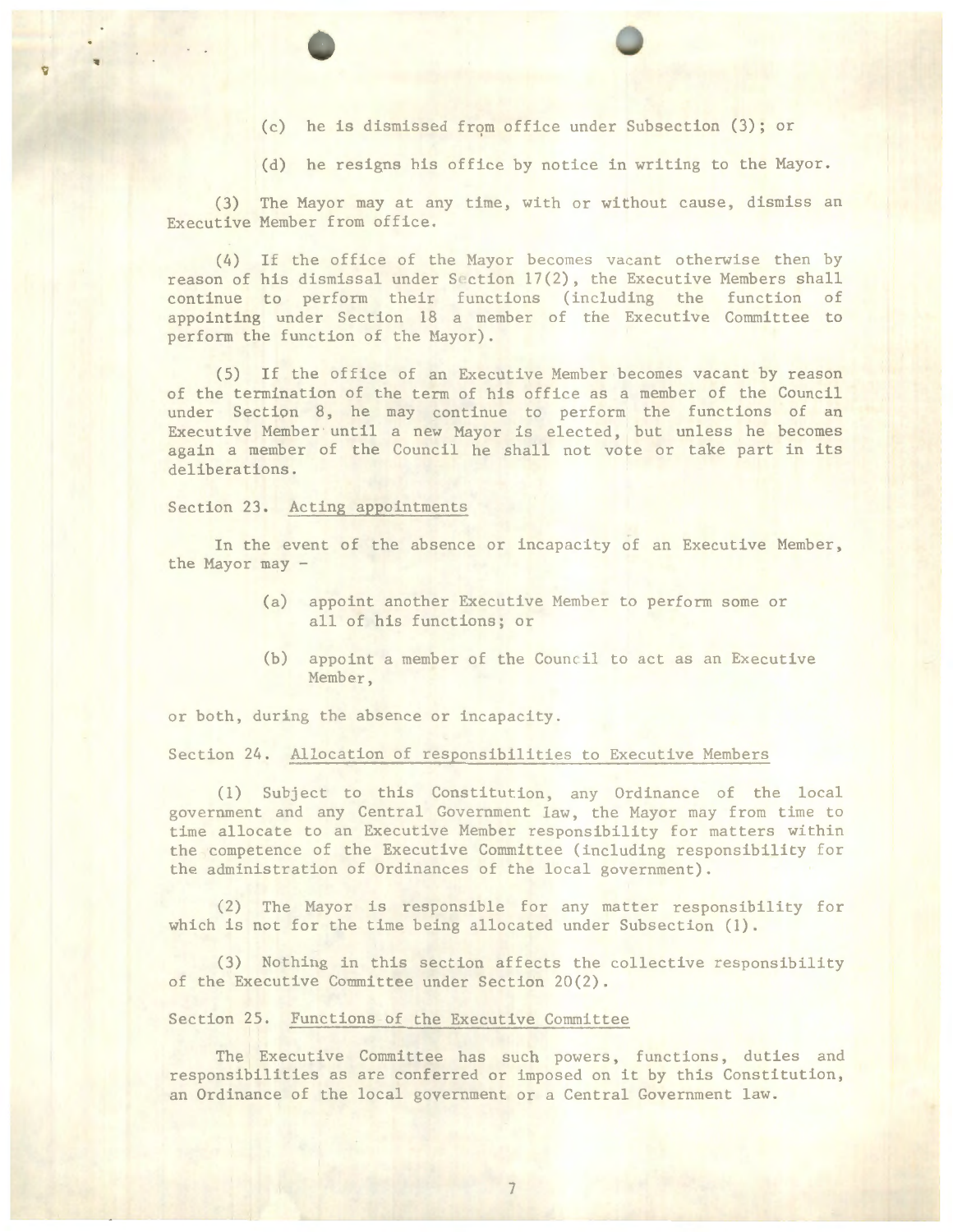- (c) he is dismissed from office under Subsection (3); or
- (d) he resigns his office by notice in writing to the Mayor.

(3) The Mayor may at any time, with or without cause, dismiss an Executive Member from office.

(4) If the office of the Hayor becomes vacant otherwise then by reason of his dismissal under Section 17(2), the Executive Hembers shall continue to perform their functions (including the function of appo inting under Section 18 a member of the Executive Committee to perform the function of the Mayor).

(5) If the office of an Executive Member becomes vacant by reason of the termination of the term of his office as a member of the Council under Section 8, he may continue to perform the functions of an Executive Member· until a new Hayor is elected, but unless he becomes again a member of the Council he shall not vote or take part in its deliberations .

## Section 23. Acting appointments

In the event of the absence or incapacity of an Executive Member, the Mayor may -

- (a) appoint another Executive Member to perform some or all of his functions; or
- (b) appoint a member of the Council to act as an Executive Member,

or both, during the absence or incapacity.

# Section 24. Allocation of responsibilities to Executive Members

 $(1)$  Subject to this Constitution, any Ordinance of the local government and any Central Government law, the Mayor may from time to time allocate to an Executive Hember responsibility for matters within the competence of the Executive Committee (including responsibility for the administration of Ordinances of the local government).

(2) The Mayor is responsible for any matter responsibility for which is not for the time being allocated under Subsection (1).

(3) Nothing in this section affects the collective responsibility of the Executive Committee under Section 20(2).

# Section 25. Functions of the Executive Committee

The Executive Committee has such powers, functions, duties and responsibilities as are conferred or imposed on it by this Constitution, an Ordinance of the local government or a Central Government law.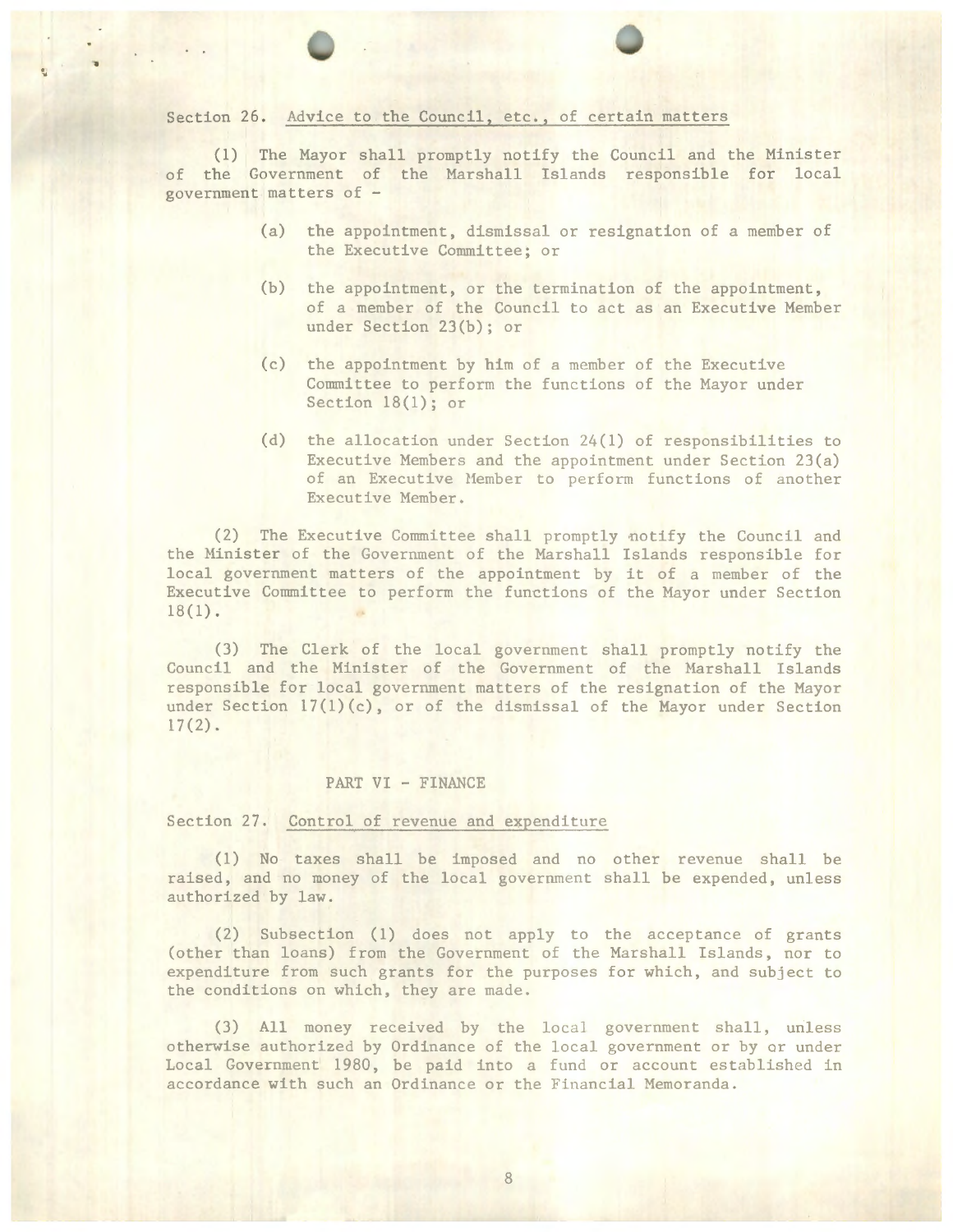### Section 26. Advice to the Council, etc., of certain matters

·,

(l) The Mayor shall promptly notify the Council and the Minister of the Government of the Marshall Islands responsible for local government matters of -

- (a) the appointment, dismissal or resignation of a member of the Executive Committee; or
- (b) the appointment, or the termination of the appointment, of a member of the Council to act as an Executive Member under Section 23(b); or
- (c) the appointment by him of a member of the Executive Committee to perform the functions of the Mayor under Section 18(1); or
- (d) the allocation under Section 24(1) of responsibilities to Executive Members and the appointment under Section 23(a) of an Executive Member to perform functions of another Executive Member.

(2) The Executive Committee shall promptly notify the Council and the Hinister of the Government of the Marshall Islands responsible for local government matters of the appointment by it of a member of the Executive Committee to perform the functions of the Mayor under Section  $18(1)$ .

(3) The Clerk of the local government shall promptly notify the Council and the Hinister of the Government of the Harshall Islands responsible for local government matters of the resignation of the Mayor under Section  $17(1)(c)$ , or of the dismissal of the Mayor under Section  $17(2)$ .

### PART VI - FINANCE

Section 27. Control of revenue and expenditure

(1) No taxes shall be imposed and no other revenue shall be raised, and no money of the local government shall be expended, unless authorized by law.

(2) Subsection (l) does not apply to the acceptance of grants (other than loans) from the Government of the Marshall Islands, nor to expenditure from such grants for the purposes for which, and subject to the conditions on which, they are made.

(3) All money received by the local government shall, unless otherwise authorized by Ordinance of the local government or by or under Local Government 1980, be paid into a fund or account established in accordance with such an Ordinance or the Financial Memoranda.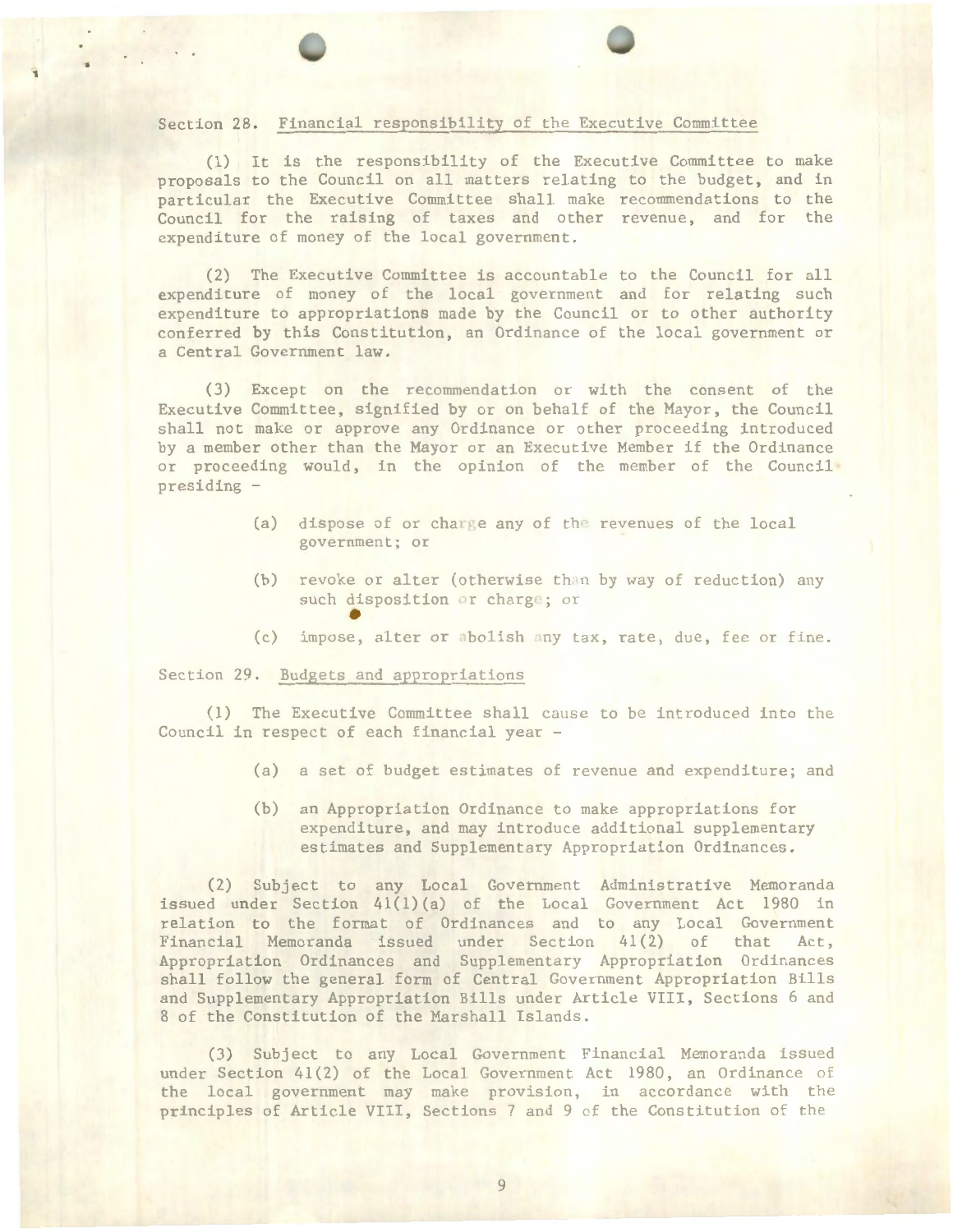# Section 28. Financial responsibility of the Executive Committee

(1) It is the responsibility of the Executive Committee to make proposals to the Council on all matters relating to the budget, and in particular the Executive Committee shall make recommendations to the Council for the raising of taxes and other revenue, and for the expenditure of money of the local government.

(2) The Executive Committee is accountable to the Council for all expenditure of money of the local government and for relating such expenditure to appropriations made by the Council or to other authority conferred by this Constitution, an Ordinance of the local government or a Central Government law.

(3) Except on the recommendation or with the consent of the Executive Committee, signified by or on behalf of the Mayor, the Council shall not make or approve any Ordinance or other proceeding introduced by a member other than the Hayor or an Executive Member if the Ordinance or proceeding would, in the opinion of the member of the Council presiding -

- (a) dispose of or charge any of the revenues of the local government; or
- (b) revoke or alter (otherwise than by way of reduction) any such disposition or charge; or
- such disposition or charge; or<br>
(c) impose, alter or abolish any tax, rate, due, fee or fine.

## Section 29. Budgets and appropriations

'1

(1) The Executive Committee shall cause to be introduced into the Council in respect of each financial year -

- (a) a set of budget estimates of revenue and expenditure; and
- (b) an Appropriation Ordinance to make appropriations for expenditure, and may introduce additional supplementary estimates and Supplementary Appropriation Ordinances.

(2) Subject to any Local Government Administrative Memoranda issued under Section 41(1) (a) of the Local Government Act 1980 in relation to the format of Ordinances and to any Local Government Financial Memoranda issued under Section 41(2) of that Act, Appropriation Ordinances and Supplementary Appropriation Ordinances shall follow the general form of Central Government Appropriation Bills and Supplementary Appropriation Bills under Article VIII, Sections 6 and 8 of the Constitution of the Marshall Islands.

(3) Subject to any Local Government Financial Memoranda issued under Section  $41(2)$  of the Local Government Act 1980, an Ordinance of the local government may make provlsJon, in accordance with the principles of Article VIII, Sections 7 and 9 of the Constitution of the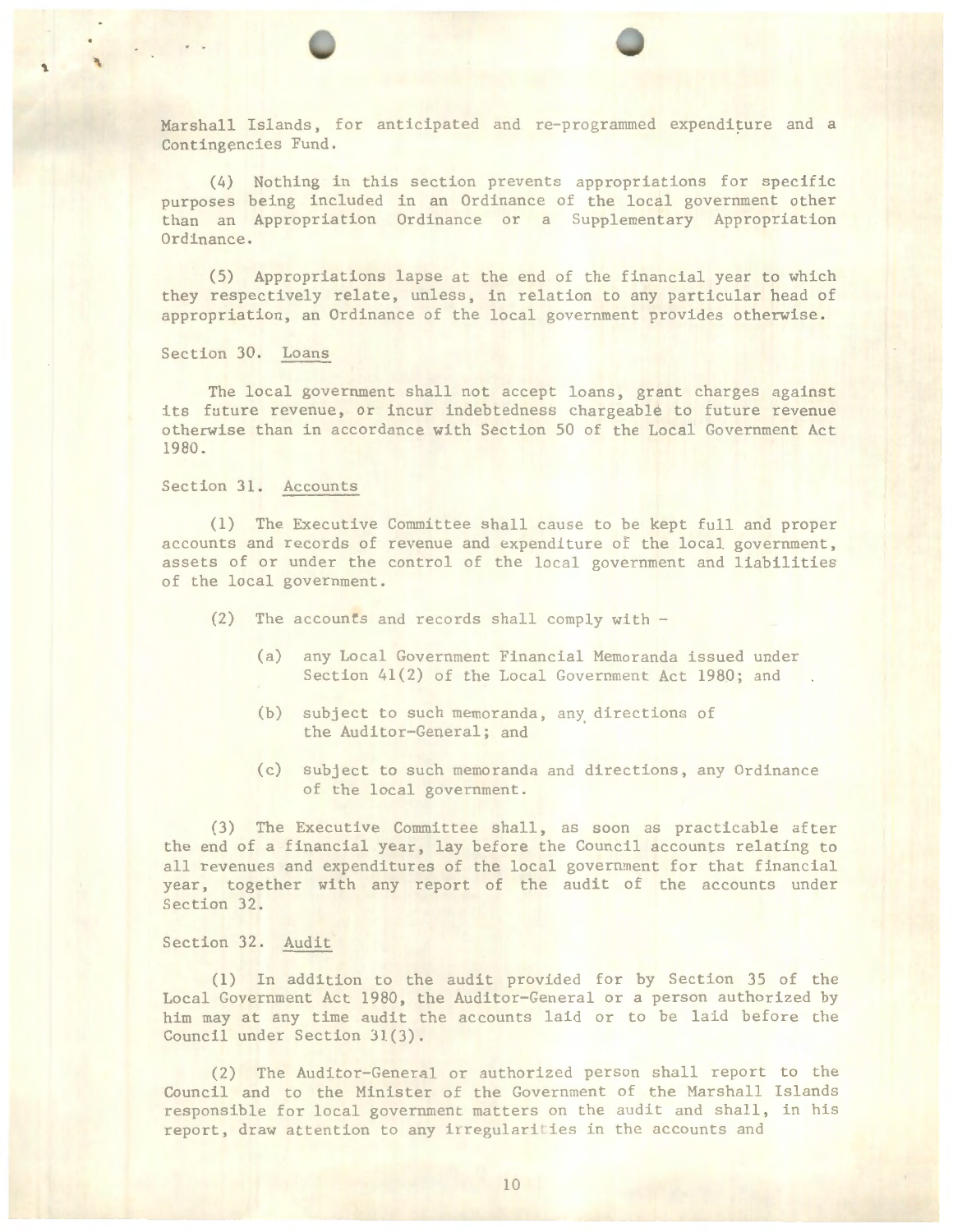Harshall Islands, for anticipated and re-programmed expenditure and <sup>a</sup> Contingencies Fund.

(4) Nothing in this section prevents appropriations for specific purposes being included in an Ordinance of the local government other than an Appropriation Ordinance or a Supplementary Appropriation Ordinance.

(5) Appropriations lapse at the end of the financial year to which they respectively relate, unless, in relation to any particular head of appropriation, an Ordinance of the local government provides otherwise.

Section 30. Loans

'\.

The local government shall not accept loans, grant charges against its future revenue, or incur indebtedness chargeable to future revenue otherwise than in accordance with Section 50 of the Local Government Act 1980.

Section 31. Accounts

(l) The Executive Committee shall cause to be kept full and proper accounts and records of revenue and expenditure of the local government, assets of or under the control of the local government and liabilities of the local government.

- (2) The accounts and records shall comply with
	- (a) any Local Government Financial Memoranda issued under Section 41(2) of the Local Government Act 1980; and
	- (b) subject to such memoranda, any. directions of the Auditor-General; and
	- (c) subject to such memoranda and directions, any Ordinance of the local government.

(3) The Executive Committee shall, as soon as practicable after the end of a financial year, lay before the Council accounts relating to all revenues and expenditures of the local government for that financial year, together with any report of the audit of the accounts under Section 32.

Section 32. Audit

(l) In addition to the audit provided for by Section 35 of the Local Government Act 1980, the Auditor-General or *a* person authorized by him may at any time audit the accounts laid or to be laid before the Council under Section 31(3).

(2) The Auditor-General or authorized person shall report to the Council and to the Minister of the Government of the Marshall Islands responsible for local government matters on the audit and shall, in his report, draw attention to any irregularities in the accounts and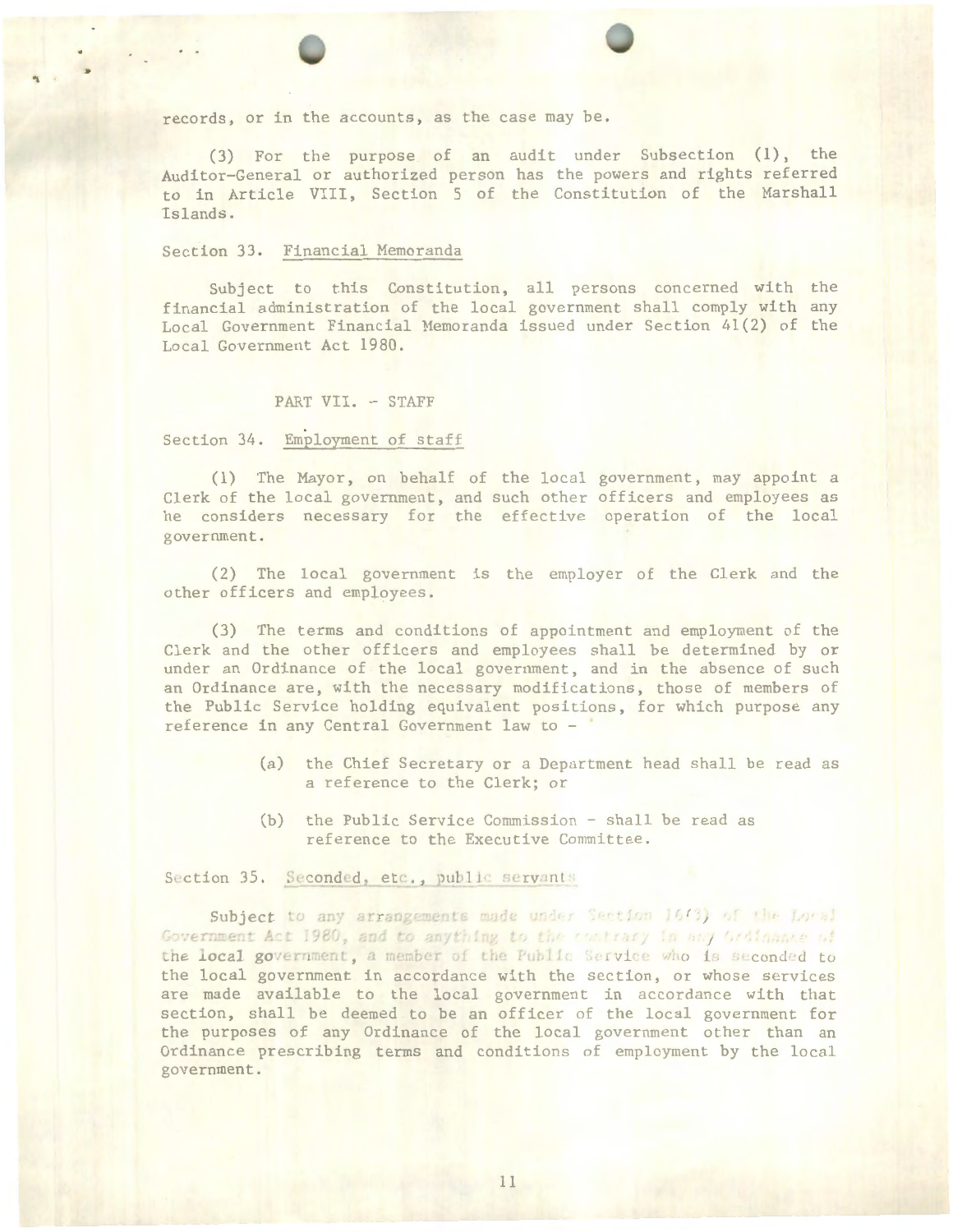records, or in the accounts, as the case may be.

(3) For the purpose of an audit under Subsection (1), the Auditor-General or authorized person has the powers and rights referred to in Article VIII, Section 5 of the Constitution of the Marshall Islands .

## Section 33. Financial Memoranda

.. .

Subject to this Constitution, all persons concerned with the financial administration of the local government shall comply with any Local Government Financial Memoranda issued under Section 41(2) of the Local Government Act 1980.

#### PART VII. - STAFF

Section 34. Employment of staff

(1) The Mayor, on behalf of the local government, may appoint a Clerk of the local government, and such other officers and employees as he considers necessary for the effective operation of the local government.

(2) The local government is the employer of the Clerk and the other officers and employees.

(3) The terms and conditions of appointment and employment of the Clerk and the other officers and employees shall be determined by or under an Ordinance of the local government, and in the absence of such an Ordinance are, with the necessary modifications, those of members of the Public Service holding equivalent positions, for which purpose any reference in any Central Government law to -

- (a) the Chief Secretary or a Department head shall be read as a reference to the Clerk; or
- (b) the Public Service Commission shall be read as reference to the Executive Committee.

Subject to any arrangements made under Section 16(3) Government Act 1980, and to anything to the contrary in any Grdinance of the local government, a member of the Public Service who is seconded to the local government in accordance with the section, or whose services are made available to the local government in accordance with that section, shall be deemed to be an officer of the local government for the purposes of any Ordinance of the local government other than an Ordinance prescribing terms and conditions of employment by the Jocal government.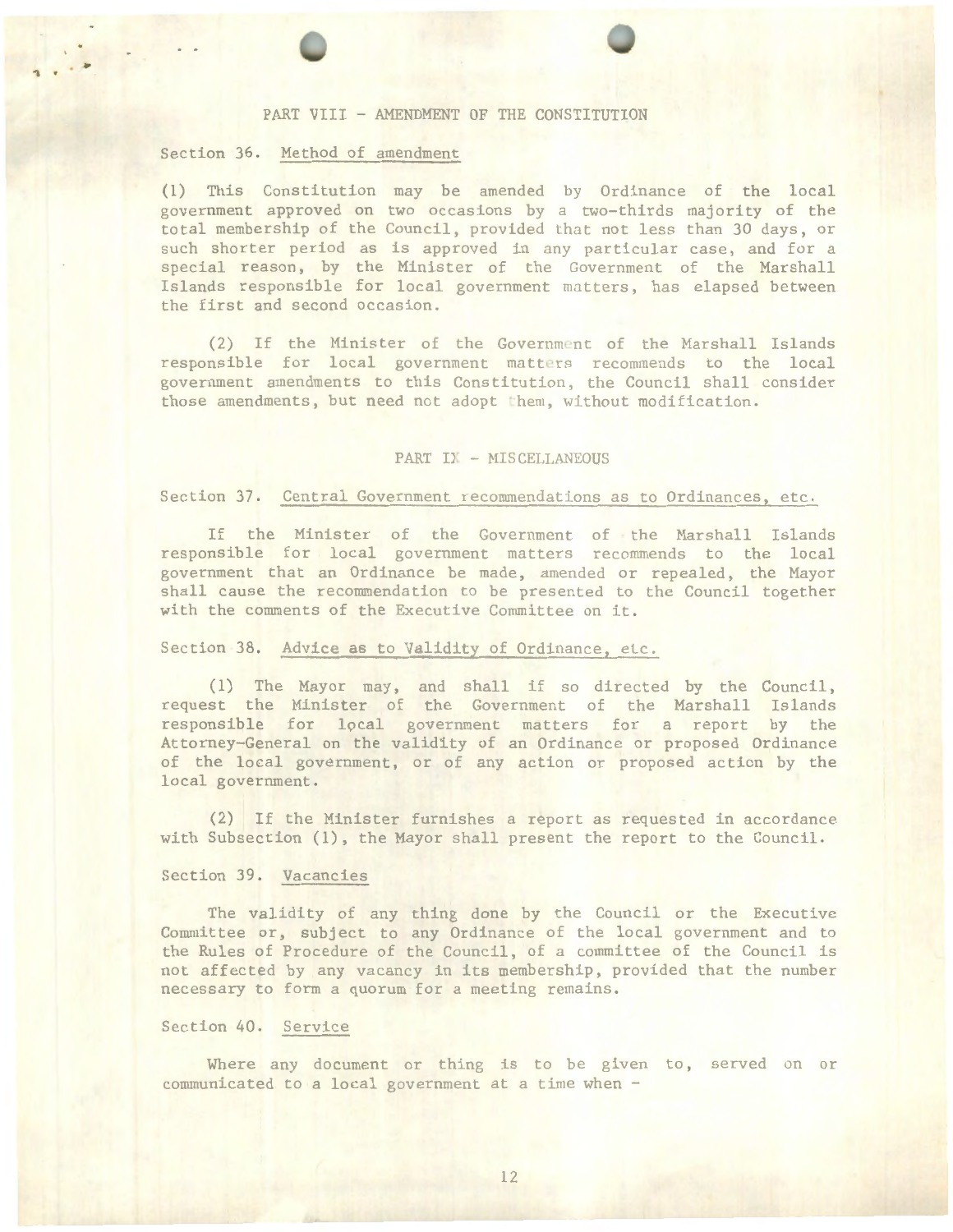# PART VIII - AMENDMENT OF THE CONSTITUTION

### Section 36. Method of amendment

.. .

(1) This Constitution may be amended by Ordinance of the local government approved on two occasions by a two-thirds majority of the total membership of the Council, provided that not less than 30 days, or such shorter period as is approved in any particular case, and for a special reason, by the Minister of the Government of the Marshall Islands responsible for local government matters, has elapsed between the first and second occasion.

(2) If the Hinister of the Government of the Harshall Islands responsible for local government matters recommends to the local government amendments to this Constitution, the. Council shall consider those amendments, but need not adopt them, without modification.

### PART IX - MISCELLANEOUS

### Section 37. Central Government recommendations as to Ordinances, etc.

If the Hinister of the Government of the Marshall Islands responsible for local government matters recommends to the local government that an Ordinance be made, amended or repealed, the Mayor shall cause the recommendation to be presented to the Council together with the comments of the Executive Committee on it.

# Section 38. Advice as to Validity of Ordinance, etc.

 $(1)$  The Mayor may, and shall if so directed by the Council, request the Hinister of the Government of the Marshall Islands responsible for local government matters for a report by the Attorney- General on the validity of an Ordinance or proposed Ordinance of the local government, or of any action or proposed action by the local government.

(2) If the Minister furnishes a report as requested in accordance with Subsection (1), the Mayor shall present the report to the Council.

### Section 39. Vacancies

The validity of any thing done by the Council or the Executive Committee or, subject to any Ordinance of the local government and to the Rules of Procedure of the Council, of a committee of the Council is not affected by any vacancy in its membership, provided that the number necessary to form a quorum for a meeting remains.

# Section 40. Service

Where any document or thing is to be given to, served on or  $communicated to a local government at a time when  $-$$